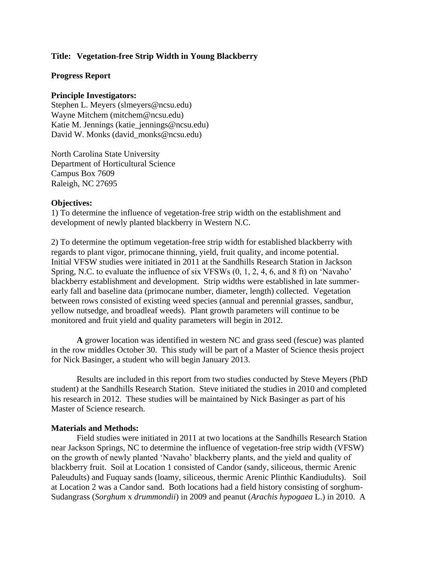## **Title: Vegetation-free Strip Width in Young Blackberry**

### **Progress Report**

### **Principle Investigators:**

Stephen L. Meyers (slmeyers@ncsu.edu) Wayne Mitchem (mitchem@ncsu.edu) Katie M. Jennings (katie\_jennings@ncsu.edu) David W. Monks (david monks@ncsu.edu)

North Carolina State University Department of Horticultural Science Campus Box 7609 Raleigh, NC 27695

#### **Objectives:**

1) To determine the influence of vegetation-free strip width on the establishment and development of newly planted blackberry in Western N.C.

2) To determine the optimum vegetation-free strip width for established blackberry with regards to plant vigor, primocane thinning, yield, fruit quality, and income potential. Initial VFSW studies were initiated in 2011 at the Sandhills Research Station in Jackson Spring, N.C. to evaluate the influence of six VFSWs (0, 1, 2, 4, 6, and 8 ft) on 'Navaho' blackberry establishment and development. Strip widths were established in late summerearly fall and baseline data (primocane number, diameter, length) collected. Vegetation between rows consisted of existing weed species (annual and perennial grasses, sandbur, yellow nutsedge, and broadleaf weeds). Plant growth parameters will continue to be monitored and fruit yield and quality parameters will begin in 2012.

**A** grower location was identified in western NC and grass seed (fescue) was planted in the row middles October 30. This study will be part of a Master of Science thesis project for Nick Basinger, a student who will begin January 2013.

Results are included in this report from two studies conducted by Steve Meyers (PhD student) at the Sandhills Research Station. Steve initiated the studies in 2010 and completed his research in 2012. These studies will be maintained by Nick Basinger as part of his Master of Science research.

#### **Materials and Methods:**

Field studies were initiated in 2011 at two locations at the Sandhills Research Station near Jackson Springs, NC to determine the influence of vegetation-free strip width (VFSW) on the growth of newly planted 'Navaho' blackberry plants, and the yield and quality of blackberry fruit. Soil at Location 1 consisted of Candor (sandy, siliceous, thermic Arenic Paleudults) and Fuquay sands (loamy, siliceous, thermic Arenic Plinthic Kandiudults). Soil at Location 2 was a Candor sand. Both locations had a field history consisting of sorghum-Sudangrass (*Sorghum* x *drummondii*) in 2009 and peanut (*Arachis hypogaea* L.) in 2010. A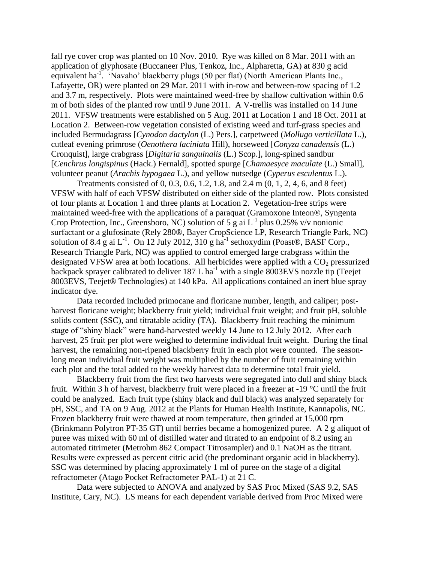fall rye cover crop was planted on 10 Nov. 2010. Rye was killed on 8 Mar. 2011 with an application of glyphosate (Buccaneer Plus, Tenkoz, Inc., Alpharetta, GA) at 830 g acid equivalent ha<sup>-1</sup>. 'Navaho' blackberry plugs (50 per flat) (North American Plants Inc., Lafayette, OR) were planted on 29 Mar. 2011 with in-row and between-row spacing of 1.2 and 3.7 m, respectively. Plots were maintained weed-free by shallow cultivation within 0.6 m of both sides of the planted row until 9 June 2011. A V-trellis was installed on 14 June 2011. VFSW treatments were established on 5 Aug. 2011 at Location 1 and 18 Oct. 2011 at Location 2. Between-row vegetation consisted of existing weed and turf-grass species and included Bermudagrass [*Cynodon dactylon* (L.) Pers.], carpetweed (*Mollugo verticillata* L.), cutleaf evening primrose (*Oenothera laciniata* Hill), horseweed [*Conyza canadensis* (L.) Cronquist], large crabgrass [*Digitaria sanguinalis* (L.) Scop.], long-spined sandbur [*Cenchrus longispinus* (Hack.) Fernald], spotted spurge [*Chamaesyce maculate* (L.) Small], volunteer peanut (*Arachis hypogaea* L.), and yellow nutsedge (*Cyperus esculentus* L.).

Treatments consisted of 0, 0.3, 0.6, 1.2, 1.8, and 2.4 m (0, 1, 2, 4, 6, and 8 feet) VFSW with half of each VFSW distributed on either side of the planted row. Plots consisted of four plants at Location 1 and three plants at Location 2. Vegetation-free strips were maintained weed-free with the applications of a paraquat (Gramoxone Inteon®, Syngenta Crop Protection, Inc., Greensboro, NC) solution of 5 g ai  $L^{-1}$  plus 0.25% v/v nonionic surfactant or a glufosinate (Rely 280®, Bayer CropScience LP, Research Triangle Park, NC) solution of 8.4 g ai L<sup>-1</sup>. On 12 July 2012, 310 g ha<sup>-1</sup> sethoxydim (Poast®, BASF Corp., Research Triangle Park, NC) was applied to control emerged large crabgrass within the designated VFSW area at both locations. All herbicides were applied with a  $CO<sub>2</sub>$  pressurized backpack sprayer calibrated to deliver  $187 L$  ha<sup>-1</sup> with a single 8003EVS nozzle tip (Teejet 8003EVS, Teejet® Technologies) at 140 kPa. All applications contained an inert blue spray indicator dye.

Data recorded included primocane and floricane number, length, and caliper; postharvest floricane weight; blackberry fruit yield; individual fruit weight; and fruit pH, soluble solids content (SSC), and titratable acidity (TA). Blackberry fruit reaching the minimum stage of "shiny black" were hand-harvested weekly 14 June to 12 July 2012. After each harvest, 25 fruit per plot were weighed to determine individual fruit weight. During the final harvest, the remaining non-ripened blackberry fruit in each plot were counted. The seasonlong mean individual fruit weight was multiplied by the number of fruit remaining within each plot and the total added to the weekly harvest data to determine total fruit yield.

Blackberry fruit from the first two harvests were segregated into dull and shiny black fruit. Within 3 h of harvest, blackberry fruit were placed in a freezer at -19 °C until the fruit could be analyzed. Each fruit type (shiny black and dull black) was analyzed separately for pH, SSC, and TA on 9 Aug. 2012 at the Plants for Human Health Institute, Kannapolis, NC. Frozen blackberry fruit were thawed at room temperature, then grinded at 15,000 rpm (Brinkmann Polytron PT-35 GT) until berries became a homogenized puree. A 2 g aliquot of puree was mixed with 60 ml of distilled water and titrated to an endpoint of 8.2 using an automated titrimeter (Metrohm 862 Compact Titrosampler) and 0.1 NaOH as the titrant. Results were expressed as percent citric acid (the predominant organic acid in blackberry). SSC was determined by placing approximately 1 ml of puree on the stage of a digital refractometer (Atago Pocket Refractometer PAL-1) at 21 C.

Data were subjected to ANOVA and analyzed by SAS Proc Mixed (SAS 9.2, SAS Institute, Cary, NC). LS means for each dependent variable derived from Proc Mixed were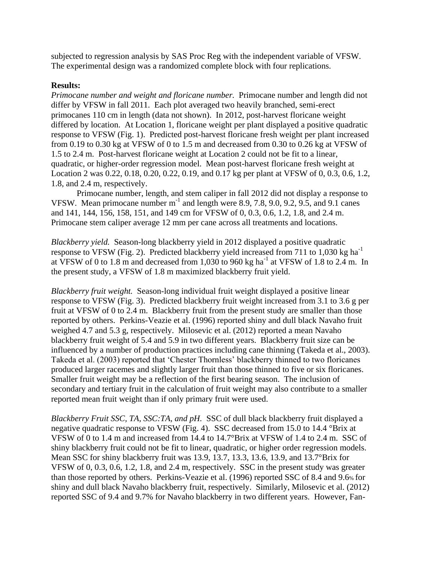subjected to regression analysis by SAS Proc Reg with the independent variable of VFSW. The experimental design was a randomized complete block with four replications.

# **Results:**

*Primocane number and weight and floricane number.* Primocane number and length did not differ by VFSW in fall 2011. Each plot averaged two heavily branched, semi-erect primocanes 110 cm in length (data not shown). In 2012, post-harvest floricane weight differed by location. At Location 1, floricane weight per plant displayed a positive quadratic response to VFSW (Fig. 1). Predicted post-harvest floricane fresh weight per plant increased from 0.19 to 0.30 kg at VFSW of 0 to 1.5 m and decreased from 0.30 to 0.26 kg at VFSW of 1.5 to 2.4 m. Post-harvest floricane weight at Location 2 could not be fit to a linear, quadratic, or higher-order regression model. Mean post-harvest floricane fresh weight at Location 2 was 0.22, 0.18, 0.20, 0.22, 0.19, and 0.17 kg per plant at VFSW of 0, 0.3, 0.6, 1.2, 1.8, and 2.4 m, respectively.

Primocane number, length, and stem caliper in fall 2012 did not display a response to VFSW. Mean primocane number  $m^{-1}$  and length were 8.9, 7.8, 9.0, 9.2, 9.5, and 9.1 canes and 141, 144, 156, 158, 151, and 149 cm for VFSW of 0, 0.3, 0.6, 1.2, 1.8, and 2.4 m. Primocane stem caliper average 12 mm per cane across all treatments and locations.

*Blackberry yield.* Season-long blackberry yield in 2012 displayed a positive quadratic response to VFSW (Fig. 2). Predicted blackberry yield increased from 711 to 1,030 kg ha-1 at VFSW of 0 to 1.8 m and decreased from 1,030 to 960 kg ha<sup>-1</sup> at VFSW of 1.8 to 2.4 m. In the present study, a VFSW of 1.8 m maximized blackberry fruit yield.

*Blackberry fruit weight.* Season-long individual fruit weight displayed a positive linear response to VFSW (Fig. 3). Predicted blackberry fruit weight increased from 3.1 to 3.6 g per fruit at VFSW of 0 to 2.4 m. Blackberry fruit from the present study are smaller than those reported by others. Perkins-Veazie et al. (1996) reported shiny and dull black Navaho fruit weighed 4.7 and 5.3 g, respectively. Milosevic et al. (2012) reported a mean Navaho blackberry fruit weight of 5.4 and 5.9 in two different years. Blackberry fruit size can be influenced by a number of production practices including cane thinning (Takeda et al., 2003). Takeda et al. (2003) reported that 'Chester Thornless' blackberry thinned to two floricanes produced larger racemes and slightly larger fruit than those thinned to five or six floricanes. Smaller fruit weight may be a reflection of the first bearing season. The inclusion of secondary and tertiary fruit in the calculation of fruit weight may also contribute to a smaller reported mean fruit weight than if only primary fruit were used.

*Blackberry Fruit SSC, TA, SSC:TA, and pH.* SSC of dull black blackberry fruit displayed a negative quadratic response to VFSW (Fig. 4). SSC decreased from 15.0 to 14.4 °Brix at VFSW of 0 to 1.4 m and increased from 14.4 to 14.7°Brix at VFSW of 1.4 to 2.4 m. SSC of shiny blackberry fruit could not be fit to linear, quadratic, or higher order regression models. Mean SSC for shiny blackberry fruit was 13.9, 13.7, 13.3, 13.6, 13.9, and 13.7°Brix for VFSW of 0, 0.3, 0.6, 1.2, 1.8, and 2.4 m, respectively. SSC in the present study was greater than those reported by others. Perkins-Veazie et al. (1996) reported SSC of 8.4 and 9.6% for shiny and dull black Navaho blackberry fruit, respectively. Similarly, Milosevic et al. (2012) reported SSC of 9.4 and 9.7% for Navaho blackberry in two different years. However, Fan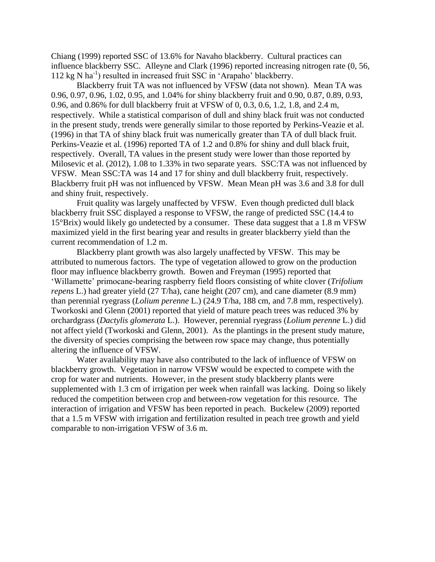Chiang (1999) reported SSC of 13.6% for Navaho blackberry. Cultural practices can influence blackberry SSC. Alleyne and Clark (1996) reported increasing nitrogen rate (0, 56, 112 kg N ha<sup>-1</sup>) resulted in increased fruit SSC in 'Arapaho' blackberry.

Blackberry fruit TA was not influenced by VFSW (data not shown). Mean TA was 0.96, 0.97, 0.96, 1.02, 0.95, and 1.04% for shiny blackberry fruit and 0.90, 0.87, 0.89, 0.93, 0.96, and 0.86% for dull blackberry fruit at VFSW of 0, 0.3, 0.6, 1.2, 1.8, and 2.4 m, respectively. While a statistical comparison of dull and shiny black fruit was not conducted in the present study, trends were generally similar to those reported by Perkins-Veazie et al. (1996) in that TA of shiny black fruit was numerically greater than TA of dull black fruit. Perkins-Veazie et al. (1996) reported TA of 1.2 and 0.8% for shiny and dull black fruit, respectively. Overall, TA values in the present study were lower than those reported by Milosevic et al. (2012), 1.08 to 1.33% in two separate years. SSC:TA was not influenced by VFSW. Mean SSC:TA was 14 and 17 for shiny and dull blackberry fruit, respectively. Blackberry fruit pH was not influenced by VFSW. Mean Mean pH was 3.6 and 3.8 for dull and shiny fruit, respectively.

Fruit quality was largely unaffected by VFSW. Even though predicted dull black blackberry fruit SSC displayed a response to VFSW, the range of predicted SSC (14.4 to 15°Brix) would likely go undetected by a consumer. These data suggest that a 1.8 m VFSW maximized yield in the first bearing year and results in greater blackberry yield than the current recommendation of 1.2 m.

Blackberry plant growth was also largely unaffected by VFSW. This may be attributed to numerous factors. The type of vegetation allowed to grow on the production floor may influence blackberry growth. Bowen and Freyman (1995) reported that 'Willamette' primocane-bearing raspberry field floors consisting of white clover (*Trifolium repens* L.) had greater yield (27 T/ha), cane height (207 cm), and cane diameter (8.9 mm) than perennial ryegrass (*Lolium perenne* L.) (24.9 T/ha, 188 cm, and 7.8 mm, respectively). Tworkoski and Glenn (2001) reported that yield of mature peach trees was reduced 3% by orchardgrass (*Dactylis glomerata* L.). However, perennial ryegrass (*Lolium perenne* L.) did not affect yield (Tworkoski and Glenn, 2001). As the plantings in the present study mature, the diversity of species comprising the between row space may change, thus potentially altering the influence of VFSW.

Water availability may have also contributed to the lack of influence of VFSW on blackberry growth. Vegetation in narrow VFSW would be expected to compete with the crop for water and nutrients. However, in the present study blackberry plants were supplemented with 1.3 cm of irrigation per week when rainfall was lacking. Doing so likely reduced the competition between crop and between-row vegetation for this resource. The interaction of irrigation and VFSW has been reported in peach. Buckelew (2009) reported that a 1.5 m VFSW with irrigation and fertilization resulted in peach tree growth and yield comparable to non-irrigation VFSW of 3.6 m.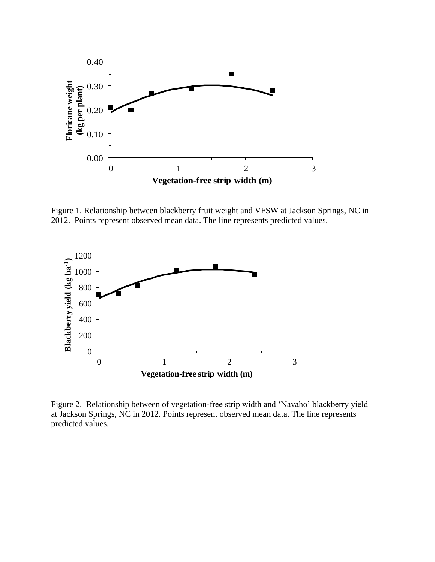

Figure 1. Relationship between blackberry fruit weight and VFSW at Jackson Springs, NC in 2012. Points represent observed mean data. The line represents predicted values.



Figure 2. Relationship between of vegetation-free strip width and 'Navaho' blackberry yield at Jackson Springs, NC in 2012. Points represent observed mean data. The line represents predicted values.